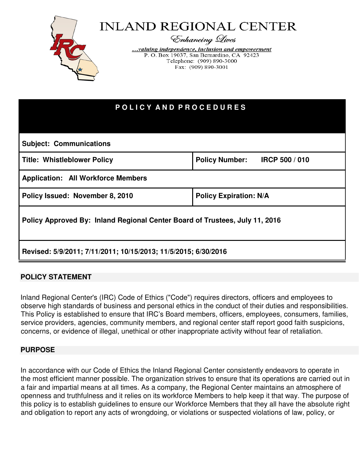

| POLICY AND PROCEDURES                                                       |                               |
|-----------------------------------------------------------------------------|-------------------------------|
| <b>Subject: Communications</b>                                              |                               |
| <b>Title: Whistleblower Policy</b>                                          | Policy Number: IRCP 500 / 010 |
| <b>Application: All Workforce Members</b>                                   |                               |
| Policy Issued: November 8, 2010                                             | <b>Policy Expiration: N/A</b> |
| Policy Approved By: Inland Regional Center Board of Trustees, July 11, 2016 |                               |
| Revised: 5/9/2011; 7/11/2011; 10/15/2013; 11/5/2015; 6/30/2016              |                               |

### **POLICY STATEMENT**

Inland Regional Center's (IRC) Code of Ethics ("Code") requires directors, officers and employees to observe high standards of business and personal ethics in the conduct of their duties and responsibilities. This Policy is established to ensure that IRC's Board members, officers, employees, consumers, families, service providers, agencies, community members, and regional center staff report good faith suspicions, concerns, or evidence of illegal, unethical or other inappropriate activity without fear of retaliation.

#### **PURPOSE**

In accordance with our Code of Ethics the Inland Regional Center consistently endeavors to operate in the most efficient manner possible. The organization strives to ensure that its operations are carried out in a fair and impartial means at all times. As a company, the Regional Center maintains an atmosphere of openness and truthfulness and it relies on its workforce Members to help keep it that way. The purpose of this policy is to establish guidelines to ensure our Workforce Members that they all have the absolute right and obligation to report any acts of wrongdoing, or violations or suspected violations of law, policy, or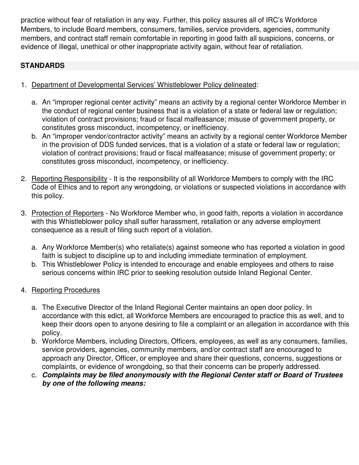practice without fear of retaliation in any way. Further, this policy assures all of IRC's Workforce Members, to include Board members, consumers, families, service providers, agencies, community members, and contract staff remain comfortable in reporting in good faith all suspicions, concerns, or evidence of illegal, unethical or other inappropriate activity again, without fear of retaliation.

# **STANDARDS**

- 1. Department of Developmental Services' Whistleblower Policy delineated:
	- a. An "improper regional center activity" means an activity by a regional center Workforce Member in the conduct of regional center business that is a violation of a state or federal law or regulation; violation of contract provisions; fraud or fiscal malfeasance; misuse of government property, or constitutes gross misconduct, incompetency, or inefficiency.
	- b. An "improper vendor/contractor activity" means an activity by a regional center Workforce Member in the provision of DDS funded services, that is a violation of a state or federal law or regulation; violation of contract provisions; fraud or fiscal malfeasance; misuse of government property; or constitutes gross misconduct, incompetency, or inefficiency.
- 2. Reporting Responsibility It is the responsibility of all Workforce Members to comply with the IRC Code of Ethics and to report any wrongdoing, or violations or suspected violations in accordance with this policy.
- 3. Protection of Reporters No Workforce Member who, in good faith, reports a violation in accordance with this Whistleblower policy shall suffer harassment, retaliation or any adverse employment consequence as a result of filing such report of a violation.
	- a. Any Workforce Member(s) who retaliate(s) against someone who has reported a violation in good faith is subject to discipline up to and including immediate termination of employment.
	- b. This Whistleblower Policy is intended to encourage and enable employees and others to raise serious concerns within IRC prior to seeking resolution outside Inland Regional Center.
- 4. Reporting Procedures
	- a. The Executive Director of the Inland Regional Center maintains an open door policy. In accordance with this edict, all Workforce Members are encouraged to practice this as well, and to keep their doors open to anyone desiring to file a complaint or an allegation in accordance with this policy.
	- b. Workforce Members, including Directors, Officers, employees, as well as any consumers, families, service providers, agencies, community members, and/or contract staff are encouraged to approach any Director, Officer, or employee and share their questions, concerns, suggestions or complaints, or evidence of wrongdoing, so that their concerns can be properly addressed.
	- c. **Complaints may be filed anonymously with the Regional Center staff or Board of Trustees by one of the following means:**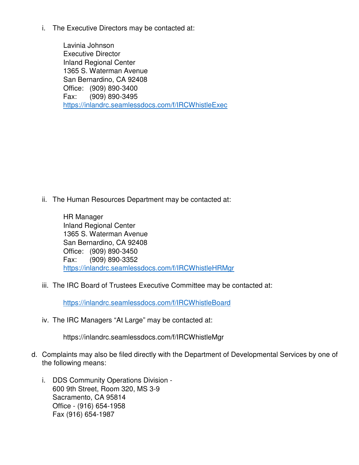i. The Executive Directors may be contacted at:

Lavinia Johnson Executive Director Inland Regional Center 1365 S. Waterman Avenue San Bernardino, CA 92408 Office: (909) 890-3400 Fax: (909) 890-3495 https://inlandrc.seamlessdocs.com/f/IRCWhistleExec

ii. The Human Resources Department may be contacted at:

HR Manager Inland Regional Center 1365 S. Waterman Avenue San Bernardino, CA 92408 Office: (909) 890-3450 Fax: (909) 890-3352 https://inlandrc.seamlessdocs.com/f/IRCWhistleHRMgr

iii. The IRC Board of Trustees Executive Committee may be contacted at:

https://inlandrc.seamlessdocs.com/f/IRCWhistleBoard

iv. The IRC Managers "At Large" may be contacted at:

https://inlandrc.seamlessdocs.com/f/IRCWhistleMgr

- d. Complaints may also be filed directly with the Department of Developmental Services by one of the following means:
	- i. DDS Community Operations Division 600 9th Street, Room 320, MS 3-9 Sacramento, CA 95814 Office - (916) 654-1958 Fax (916) 654-1987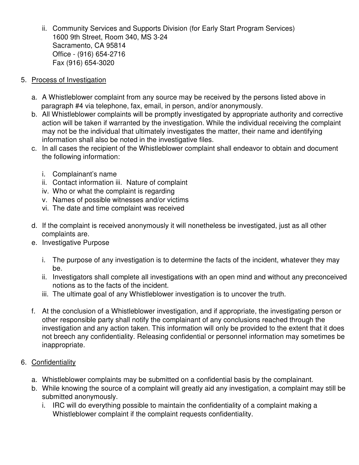- ii. Community Services and Supports Division (for Early Start Program Services) 1600 9th Street, Room 340, MS 3-24 Sacramento, CA 95814 Office - (916) 654-2716 Fax (916) 654-3020
- 5. Process of Investigation
	- a. A Whistleblower complaint from any source may be received by the persons listed above in paragraph #4 via telephone, fax, email, in person, and/or anonymously.
	- b. All Whistleblower complaints will be promptly investigated by appropriate authority and corrective action will be taken if warranted by the investigation. While the individual receiving the complaint may not be the individual that ultimately investigates the matter, their name and identifying information shall also be noted in the investigative files.
	- c. In all cases the recipient of the Whistleblower complaint shall endeavor to obtain and document the following information:
		- i. Complainant's name
		- ii. Contact information iii. Nature of complaint
		- iv. Who or what the complaint is regarding
		- v. Names of possible witnesses and/or victims
		- vi. The date and time complaint was received
	- d. If the complaint is received anonymously it will nonetheless be investigated, just as all other complaints are.
	- e. Investigative Purpose
		- i. The purpose of any investigation is to determine the facts of the incident, whatever they may be.
		- ii. Investigators shall complete all investigations with an open mind and without any preconceived notions as to the facts of the incident.
		- iii. The ultimate goal of any Whistleblower investigation is to uncover the truth.
	- f. At the conclusion of a Whistleblower investigation, and if appropriate, the investigating person or other responsible party shall notify the complainant of any conclusions reached through the investigation and any action taken. This information will only be provided to the extent that it does not breech any confidentiality. Releasing confidential or personnel information may sometimes be inappropriate.

# 6. Confidentiality

- a. Whistleblower complaints may be submitted on a confidential basis by the complainant.
- b. While knowing the source of a complaint will greatly aid any investigation, a complaint may still be submitted anonymously.
	- i. IRC will do everything possible to maintain the confidentiality of a complaint making a Whistleblower complaint if the complaint requests confidentiality.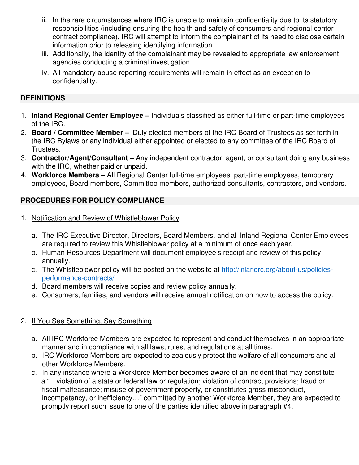- ii. In the rare circumstances where IRC is unable to maintain confidentiality due to its statutory responsibilities (including ensuring the health and safety of consumers and regional center contract compliance), IRC will attempt to inform the complainant of its need to disclose certain information prior to releasing identifying information.
- iii. Additionally, the identity of the complainant may be revealed to appropriate law enforcement agencies conducting a criminal investigation.
- iv. All mandatory abuse reporting requirements will remain in effect as an exception to confidentiality.

#### **DEFINITIONS**

- 1. **Inland Regional Center Employee** Individuals classified as either full-time or part-time employees of the IRC.
- 2. **Board / Committee Member** Duly elected members of the IRC Board of Trustees as set forth in the IRC Bylaws or any individual either appointed or elected to any committee of the IRC Board of Trustees.
- 3. **Contractor/Agent/Consultant** Any independent contractor; agent, or consultant doing any business with the IRC, whether paid or unpaid.
- 4. **Workforce Members** All Regional Center full-time employees, part-time employees, temporary employees, Board members, Committee members, authorized consultants, contractors, and vendors.

### **PROCEDURES FOR POLICY COMPLIANCE**

- 1. Notification and Review of Whistleblower Policy
	- a. The IRC Executive Director, Directors, Board Members, and all Inland Regional Center Employees are required to review this Whistleblower policy at a minimum of once each year.
	- b. Human Resources Department will document employee's receipt and review of this policy annually.
	- c. The Whistleblower policy will be posted on the website at http://inlandrc.org/about-us/policiesperformance-contracts/
	- d. Board members will receive copies and review policy annually.
	- e. Consumers, families, and vendors will receive annual notification on how to access the policy.

### 2. If You See Something, Say Something

- a. All IRC Workforce Members are expected to represent and conduct themselves in an appropriate manner and in compliance with all laws, rules, and regulations at all times.
- b. IRC Workforce Members are expected to zealously protect the welfare of all consumers and all other Workforce Members.
- c. In any instance where a Workforce Member becomes aware of an incident that may constitute a "…violation of a state or federal law or regulation; violation of contract provisions; fraud or fiscal malfeasance; misuse of government property, or constitutes gross misconduct, incompetency, or inefficiency…" committed by another Workforce Member, they are expected to promptly report such issue to one of the parties identified above in paragraph #4.